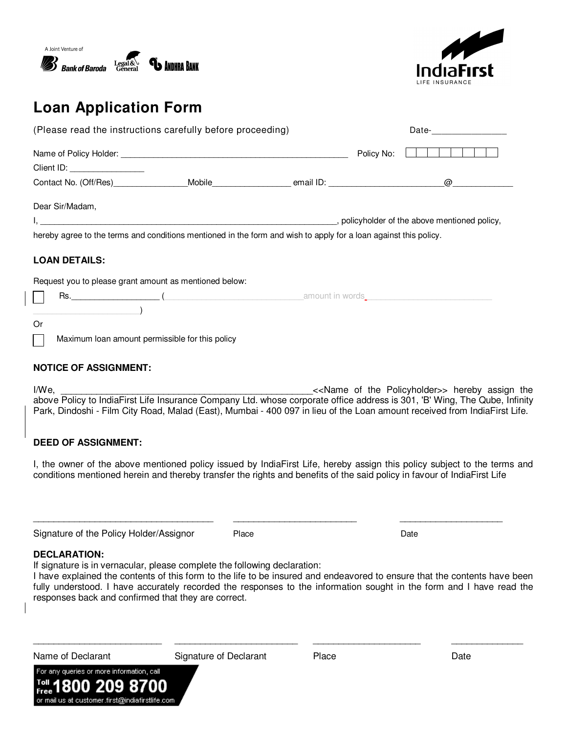



# **Loan Application Form**

|                                                                                                                  | (Please read the instructions carefully before proceeding) |                                                        |  |                 |  |  |  |  |
|------------------------------------------------------------------------------------------------------------------|------------------------------------------------------------|--------------------------------------------------------|--|-----------------|--|--|--|--|
|                                                                                                                  |                                                            |                                                        |  | .<br>Policy No: |  |  |  |  |
|                                                                                                                  | Client ID: ___________________                             |                                                        |  |                 |  |  |  |  |
|                                                                                                                  |                                                            |                                                        |  |                 |  |  |  |  |
|                                                                                                                  | Dear Sir/Madam,                                            |                                                        |  |                 |  |  |  |  |
|                                                                                                                  |                                                            |                                                        |  |                 |  |  |  |  |
| hereby agree to the terms and conditions mentioned in the form and wish to apply for a loan against this policy. |                                                            |                                                        |  |                 |  |  |  |  |
|                                                                                                                  |                                                            |                                                        |  |                 |  |  |  |  |
|                                                                                                                  | <b>LOAN DETAILS:</b>                                       |                                                        |  |                 |  |  |  |  |
|                                                                                                                  |                                                            | Request you to please grant amount as mentioned below: |  |                 |  |  |  |  |
|                                                                                                                  |                                                            |                                                        |  |                 |  |  |  |  |
|                                                                                                                  | $\overline{\phantom{a}}$                                   |                                                        |  |                 |  |  |  |  |
| 0r                                                                                                               |                                                            |                                                        |  |                 |  |  |  |  |

### **NOTICE OF ASSIGNMENT:**

I/We, the Policyholder>> hereby assign the  $\lt\lt$ Name of the Policyholder>> hereby assign the above Policy to IndiaFirst Life Insurance Company Ltd. whose corporate office address is 301, 'B' Wing, The Qube, Infinity Park, Dindoshi - Film City Road, Malad (East), Mumbai - 400 097 in lieu of the Loan amount received from IndiaFirst Life.

### **DEED OF ASSIGNMENT:**

I, the owner of the above mentioned policy issued by IndiaFirst Life, hereby assign this policy subject to the terms and conditions mentioned herein and thereby transfer the rights and benefits of the said policy in favour of IndiaFirst Life

\_\_\_\_\_\_\_\_\_\_\_\_\_\_\_\_\_\_\_\_\_\_\_\_\_\_\_\_\_\_\_\_\_\_\_ \_\_\_\_\_\_\_\_\_\_\_\_\_\_\_\_\_\_\_\_\_\_\_\_ \_\_\_\_\_\_\_\_\_\_\_\_\_\_\_\_\_\_\_\_

Signature of the Policy Holder/Assignor Place Place Policy Place Date

### **DECLARATION:**

If signature is in vernacular, please complete the following declaration:

I have explained the contents of this form to the life to be insured and endeavored to ensure that the contents have been fully understood. I have accurately recorded the responses to the information sought in the form and I have read the responses back and confirmed that they are correct.

\_\_\_\_\_\_\_\_\_\_\_\_\_\_\_\_\_\_\_\_\_\_\_\_\_ \_\_\_\_\_\_\_\_\_\_\_\_\_\_\_\_\_\_\_\_\_\_\_\_ \_\_\_\_\_\_\_\_\_\_\_\_\_\_\_\_\_\_\_\_\_ \_\_\_\_\_\_\_\_\_\_\_\_\_\_

Signature of Declarant Place Place Date

For any queries or more information, call 2 or mail us at customer.first@indiafirstlife.com